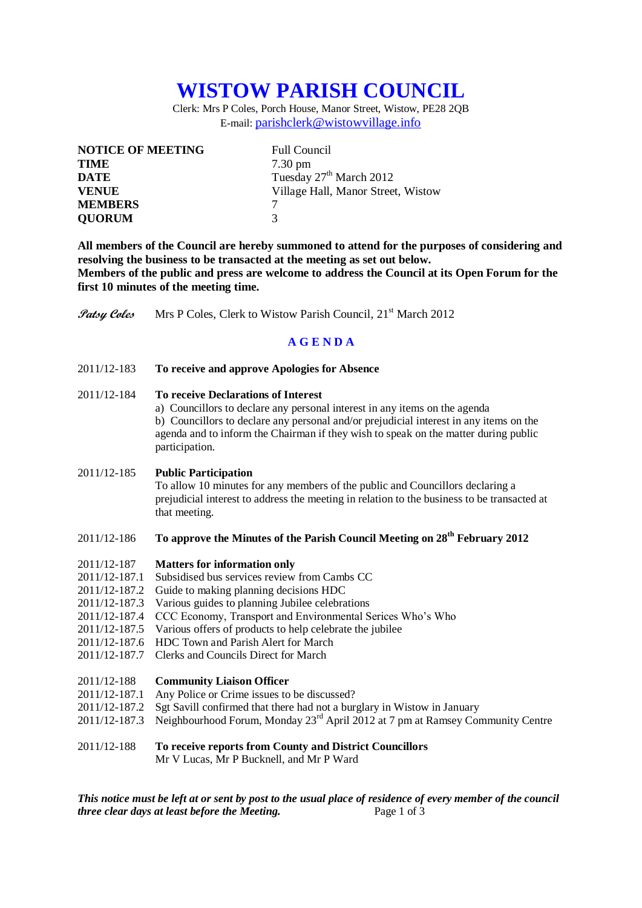# **WISTOW PARISH COUNCIL**

Clerk: Mrs P Coles, Porch House, Manor Street, Wistow, PE28 2QB E-mail: [parishclerk@wistowvillage.info](mailto:parishclerk@wistowvillage.info)

| <b>NOTICE OF MEETING</b> | <b>Full Council</b>                 |
|--------------------------|-------------------------------------|
| <b>TIME</b>              | $7.30 \text{ pm}$                   |
| <b>DATE</b>              | Tuesday 27 <sup>th</sup> March 2012 |
| <b>VENUE</b>             | Village Hall, Manor Street, Wistow  |
| <b>MEMBERS</b>           |                                     |
| <b>QUORUM</b>            | $\mathbf 3$                         |

**All members of the Council are hereby summoned to attend for the purposes of considering and resolving the business to be transacted at the meeting as set out below. Members of the public and press are welcome to address the Council at its Open Forum for the first 10 minutes of the meeting time.**

**Patsy Coles** Mrs P Coles, Clerk to Wistow Parish Council, 21<sup>st</sup> March 2012

# **A G E N D A**

2011/12-183 **To receive and approve Apologies for Absence**

## 2011/12-184 **To receive Declarations of Interest**

a) Councillors to declare any personal interest in any items on the agenda b) Councillors to declare any personal and/or prejudicial interest in any items on the agenda and to inform the Chairman if they wish to speak on the matter during public participation.

#### 2011/12-185 **Public Participation**

To allow 10 minutes for any members of the public and Councillors declaring a prejudicial interest to address the meeting in relation to the business to be transacted at that meeting.

# 2011/12-186 **To approve the Minutes of the Parish Council Meeting on 28th February 2012**

- 2011/12-187 **Matters for information only**
- 2011/12-187.1 Subsidised bus services review from Cambs CC
- 2011/12-187.2 Guide to making planning decisions HDC
- 2011/12-187.3 Various guides to planning Jubilee celebrations
- 2011/12-187.4 CCC Economy, Transport and Environmental Serices Who's Who
- 2011/12-187.5 Various offers of products to help celebrate the jubilee
- 2011/12-187.6 HDC Town and Parish Alert for March
- 2011/12-187.7 Clerks and Councils Direct for March

#### 2011/12-188 **Community Liaison Officer**

- 2011/12-187.1 Any Police or Crime issues to be discussed?
- 2011/12-187.2 Sgt Savill confirmed that there had not a burglary in Wistow in January
- 2011/12-187.3 Neighbourhood Forum, Monday 23rd April 2012 at 7 pm at Ramsey Community Centre
- 2011/12-188 **To receive reports from County and District Councillors** Mr V Lucas, Mr P Bucknell, and Mr P Ward

*This notice must be left at or sent by post to the usual place of residence of every member of the council three clear days at least before the Meeting.* Page 1 of 3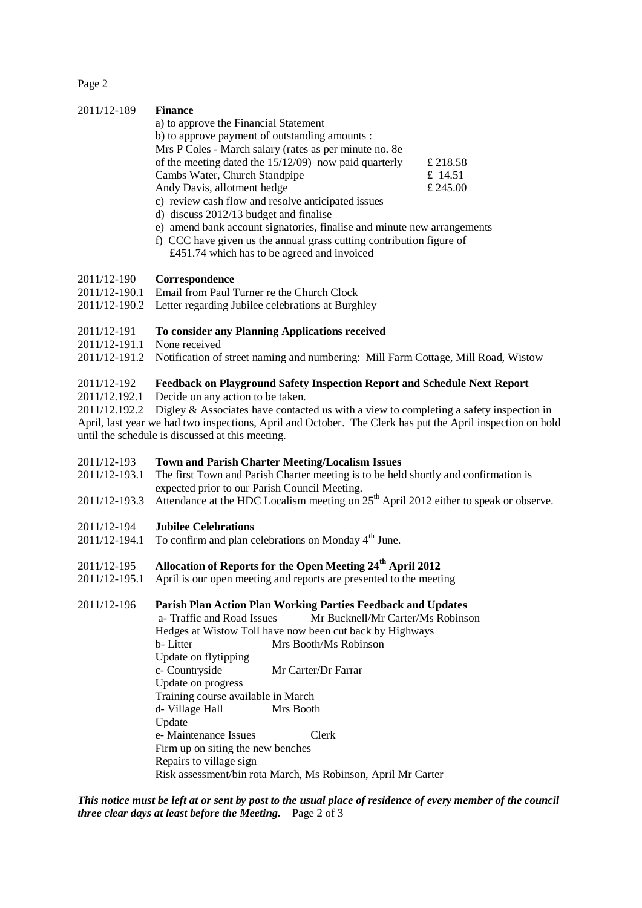Page 2

| 2011/12-189 | <b>Finance</b>                                          |          |
|-------------|---------------------------------------------------------|----------|
|             | a) to approve the Financial Statement                   |          |
|             | b) to approve payment of outstanding amounts :          |          |
|             | Mrs P Coles - March salary (rates as per minute no. 8e) |          |
|             | of the meeting dated the $15/12/09$ now paid quarterly  | £ 218.58 |
|             | Cambs Water, Church Standpipe                           | £ 14.51  |
|             | Andy Davis, allotment hedge                             | £ 245.00 |
|             | c) review cash flow and resolve anticipated issues      |          |

- d) discuss 2012/13 budget and finalise
- e) amend bank account signatories, finalise and minute new arrangements
- f) CCC have given us the annual grass cutting contribution figure of £451.74 which has to be agreed and invoiced

# 2011/12-190 **Correspondence**

- 2011/12-190.1 Email from Paul Turner re the Church Clock
- 2011/12-190.2 Letter regarding Jubilee celebrations at Burghley

#### 2011/12-191 **To consider any Planning Applications received**

- 2011/12-191.1 None received
- 2011/12-191.2 Notification of street naming and numbering: Mill Farm Cottage, Mill Road, Wistow

# 2011/12-192 **Feedback on Playground Safety Inspection Report and Schedule Next Report**

2011/12.192.1 Decide on any action to be taken.

2011/12.192.2 Digley & Associates have contacted us with a view to completing a safety inspection in April, last year we had two inspections, April and October. The Clerk has put the April inspection on hold until the schedule is discussed at this meeting.

# 2011/12-193 **Town and Parish Charter Meeting/Localism Issues**

- 2011/12-193.1 The first Town and Parish Charter meeting is to be held shortly and confirmation is expected prior to our Parish Council Meeting.
- 2011/12-193.3 Attendance at the HDC Localism meeting on 25<sup>th</sup> April 2012 either to speak or observe.

# 2011/12-194 **Jubilee Celebrations**

 $2011/12-194.1$  To confirm and plan celebrations on Monday  $4<sup>th</sup>$  June.

# 2011/12-195 **Allocation of Reports for the Open Meeting 24th April 2012**

2011/12-195.1 April is our open meeting and reports are presented to the meeting

# 2011/12-196 **Parish Plan Action Plan Working Parties Feedback and Updates**

 a- Traffic and Road Issues Mr Bucknell/Mr Carter/Ms Robinson Hedges at Wistow Toll have now been cut back by Highways b- Litter Mrs Booth/Ms Robinson Update on flytipping c- Countryside Mr Carter/Dr Farrar Update on progress Training course available in March d- Village Hall Mrs Booth Update e- Maintenance Issues Clerk Firm up on siting the new benches Repairs to village sign Risk assessment/bin rota March, Ms Robinson, April Mr Carter

*This notice must be left at or sent by post to the usual place of residence of every member of the council three clear days at least before the Meeting.* Page 2 of 3